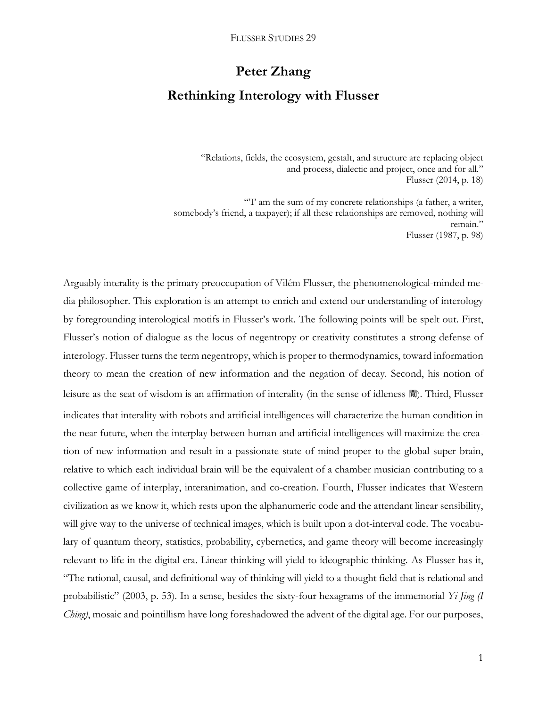# **Peter Zhang**

## **Rethinking Interology with Flusser**

"Relations, fields, the ecosystem, gestalt, and structure are replacing object and process, dialectic and project, once and for all." Flusser (2014, p. 18)

"I' am the sum of my concrete relationships (a father, a writer, somebody's friend, a taxpayer); if all these relationships are removed, nothing will remain." Flusser (1987, p. 98)

Arguably interality is the primary preoccupation of Vilém Flusser, the phenomenological-minded media philosopher. This exploration is an attempt to enrich and extend our understanding of interology by foregrounding interological motifs in Flusser's work. The following points will be spelt out. First, Flusser's notion of dialogue as the locus of negentropy or creativity constitutes a strong defense of interology. Flusser turns the term negentropy, which is proper to thermodynamics, toward information theory to mean the creation of new information and the negation of decay. Second, his notion of leisure as the seat of wisdom is an affirmation of interality (in the sense of idleness 閒). Third, Flusser indicates that interality with robots and artificial intelligences will characterize the human condition in the near future, when the interplay between human and artificial intelligences will maximize the creation of new information and result in a passionate state of mind proper to the global super brain, relative to which each individual brain will be the equivalent of a chamber musician contributing to a collective game of interplay, interanimation, and co-creation. Fourth, Flusser indicates that Western civilization as we know it, which rests upon the alphanumeric code and the attendant linear sensibility, will give way to the universe of technical images, which is built upon a dot-interval code. The vocabulary of quantum theory, statistics, probability, cybernetics, and game theory will become increasingly relevant to life in the digital era. Linear thinking will yield to ideographic thinking. As Flusser has it, "The rational, causal, and definitional way of thinking will yield to a thought field that is relational and probabilistic" (2003, p. 53). In a sense, besides the sixty-four hexagrams of the immemorial *Yi Jing (I Ching)*, mosaic and pointillism have long foreshadowed the advent of the digital age. For our purposes,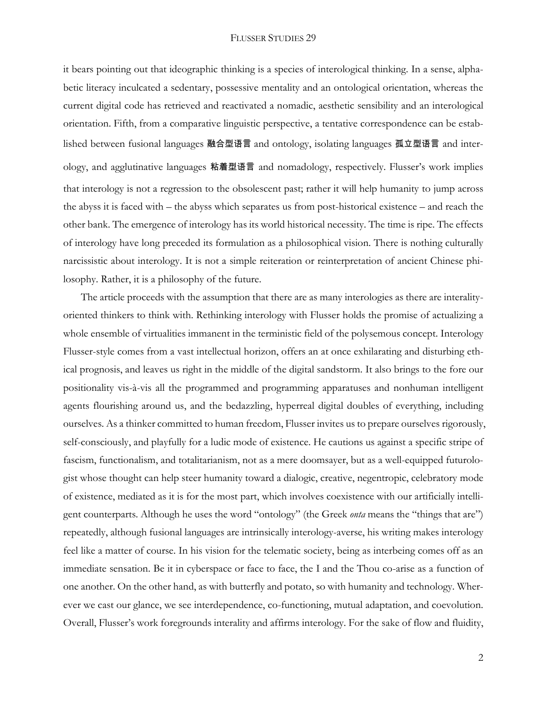it bears pointing out that ideographic thinking is a species of interological thinking. In a sense, alphabetic literacy inculcated a sedentary, possessive mentality and an ontological orientation, whereas the current digital code has retrieved and reactivated a nomadic, aesthetic sensibility and an interological orientation. Fifth, from a comparative linguistic perspective, a tentative correspondence can be established between fusional languages 融合型语言 and ontology, isolating languages 孤立型语言 and interology, and agglutinative languages 粘着型语言 and nomadology, respectively. Flusser's work implies that interology is not a regression to the obsolescent past; rather it will help humanity to jump across the abyss it is faced with – the abyss which separates us from post-historical existence – and reach the other bank. The emergence of interology has its world historical necessity. The time is ripe. The effects of interology have long preceded its formulation as a philosophical vision. There is nothing culturally narcissistic about interology. It is not a simple reiteration or reinterpretation of ancient Chinese philosophy. Rather, it is a philosophy of the future.

The article proceeds with the assumption that there are as many interologies as there are interalityoriented thinkers to think with. Rethinking interology with Flusser holds the promise of actualizing a whole ensemble of virtualities immanent in the terministic field of the polysemous concept. Interology Flusser-style comes from a vast intellectual horizon, offers an at once exhilarating and disturbing ethical prognosis, and leaves us right in the middle of the digital sandstorm. It also brings to the fore our positionality vis-à-vis all the programmed and programming apparatuses and nonhuman intelligent agents flourishing around us, and the bedazzling, hyperreal digital doubles of everything, including ourselves. As a thinker committed to human freedom, Flusser invites us to prepare ourselves rigorously, self-consciously, and playfully for a ludic mode of existence. He cautions us against a specific stripe of fascism, functionalism, and totalitarianism, not as a mere doomsayer, but as a well-equipped futurologist whose thought can help steer humanity toward a dialogic, creative, negentropic, celebratory mode of existence, mediated as it is for the most part, which involves coexistence with our artificially intelligent counterparts. Although he uses the word "ontology" (the Greek *onta* means the "things that are") repeatedly, although fusional languages are intrinsically interology-averse, his writing makes interology feel like a matter of course. In his vision for the telematic society, being as interbeing comes off as an immediate sensation. Be it in cyberspace or face to face, the I and the Thou co-arise as a function of one another. On the other hand, as with butterfly and potato, so with humanity and technology. Wherever we cast our glance, we see interdependence, co-functioning, mutual adaptation, and coevolution. Overall, Flusser's work foregrounds interality and affirms interology. For the sake of flow and fluidity,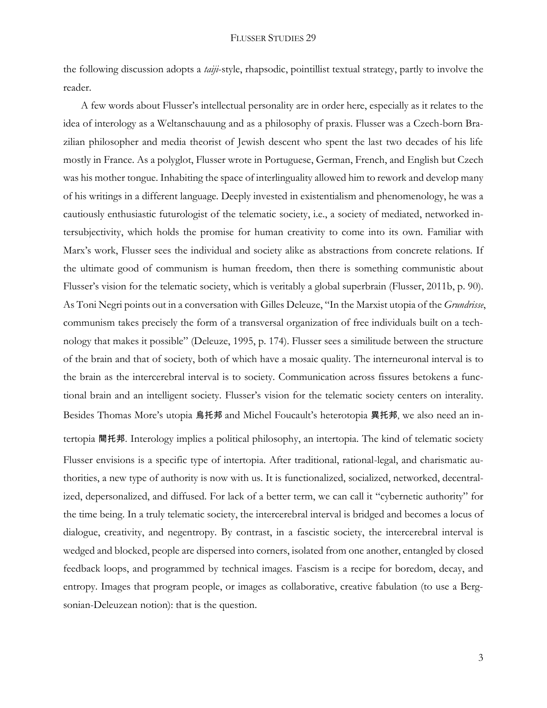the following discussion adopts a *taiji*-style, rhapsodic, pointillist textual strategy, partly to involve the reader.

A few words about Flusser's intellectual personality are in order here, especially as it relates to the idea of interology as a Weltanschauung and as a philosophy of praxis. Flusser was a Czech-born Brazilian philosopher and media theorist of Jewish descent who spent the last two decades of his life mostly in France. As a polyglot, Flusser wrote in Portuguese, German, French, and English but Czech was his mother tongue. Inhabiting the space of interlinguality allowed him to rework and develop many of his writings in a different language. Deeply invested in existentialism and phenomenology, he was a cautiously enthusiastic futurologist of the telematic society, i.e., a society of mediated, networked intersubjectivity, which holds the promise for human creativity to come into its own. Familiar with Marx's work, Flusser sees the individual and society alike as abstractions from concrete relations. If the ultimate good of communism is human freedom, then there is something communistic about Flusser's vision for the telematic society, which is veritably a global superbrain (Flusser, 2011b, p. 90). As Toni Negri points out in a conversation with Gilles Deleuze, "In the Marxist utopia of the *Grundrisse*, communism takes precisely the form of a transversal organization of free individuals built on a technology that makes it possible" (Deleuze, 1995, p. 174). Flusser sees a similitude between the structure of the brain and that of society, both of which have a mosaic quality. The interneuronal interval is to the brain as the intercerebral interval is to society. Communication across fissures betokens a functional brain and an intelligent society. Flusser's vision for the telematic society centers on interality. Besides Thomas More's utopia 烏托邦 and Michel Foucault's heterotopia 異托邦, we also need an intertopia 間托邦. Interology implies a political philosophy, an intertopia. The kind of telematic society Flusser envisions is a specific type of intertopia. After traditional, rational-legal, and charismatic authorities, a new type of authority is now with us. It is functionalized, socialized, networked, decentralized, depersonalized, and diffused. For lack of a better term, we can call it "cybernetic authority" for the time being. In a truly telematic society, the intercerebral interval is bridged and becomes a locus of dialogue, creativity, and negentropy. By contrast, in a fascistic society, the intercerebral interval is wedged and blocked, people are dispersed into corners, isolated from one another, entangled by closed feedback loops, and programmed by technical images. Fascism is a recipe for boredom, decay, and entropy. Images that program people, or images as collaborative, creative fabulation (to use a Bergsonian-Deleuzean notion): that is the question.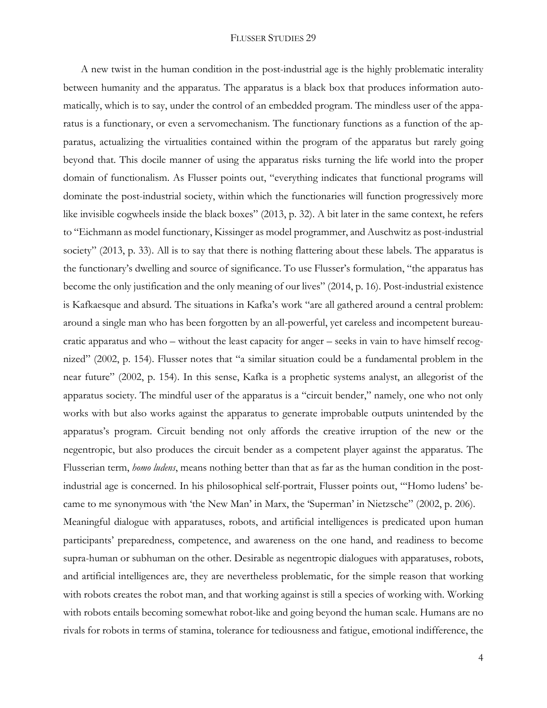A new twist in the human condition in the post-industrial age is the highly problematic interality between humanity and the apparatus. The apparatus is a black box that produces information automatically, which is to say, under the control of an embedded program. The mindless user of the apparatus is a functionary, or even a servomechanism. The functionary functions as a function of the apparatus, actualizing the virtualities contained within the program of the apparatus but rarely going beyond that. This docile manner of using the apparatus risks turning the life world into the proper domain of functionalism. As Flusser points out, "everything indicates that functional programs will dominate the post-industrial society, within which the functionaries will function progressively more like invisible cogwheels inside the black boxes" (2013, p. 32). A bit later in the same context, he refers to "Eichmann as model functionary, Kissinger as model programmer, and Auschwitz as post-industrial society" (2013, p. 33). All is to say that there is nothing flattering about these labels. The apparatus is the functionary's dwelling and source of significance. To use Flusser's formulation, "the apparatus has become the only justification and the only meaning of our lives" (2014, p. 16). Post-industrial existence is Kafkaesque and absurd. The situations in Kafka's work "are all gathered around a central problem: around a single man who has been forgotten by an all-powerful, yet careless and incompetent bureaucratic apparatus and who – without the least capacity for anger – seeks in vain to have himself recognized" (2002, p. 154). Flusser notes that "a similar situation could be a fundamental problem in the near future" (2002, p. 154). In this sense, Kafka is a prophetic systems analyst, an allegorist of the apparatus society. The mindful user of the apparatus is a "circuit bender," namely, one who not only works with but also works against the apparatus to generate improbable outputs unintended by the apparatus's program. Circuit bending not only affords the creative irruption of the new or the negentropic, but also produces the circuit bender as a competent player against the apparatus. The Flusserian term, *homo ludens*, means nothing better than that as far as the human condition in the postindustrial age is concerned. In his philosophical self-portrait, Flusser points out, "'Homo ludens' became to me synonymous with 'the New Man' in Marx, the 'Superman' in Nietzsche" (2002, p. 206). Meaningful dialogue with apparatuses, robots, and artificial intelligences is predicated upon human participants' preparedness, competence, and awareness on the one hand, and readiness to become supra-human or subhuman on the other. Desirable as negentropic dialogues with apparatuses, robots, and artificial intelligences are, they are nevertheless problematic, for the simple reason that working with robots creates the robot man, and that working against is still a species of working with. Working with robots entails becoming somewhat robot-like and going beyond the human scale. Humans are no rivals for robots in terms of stamina, tolerance for tediousness and fatigue, emotional indifference, the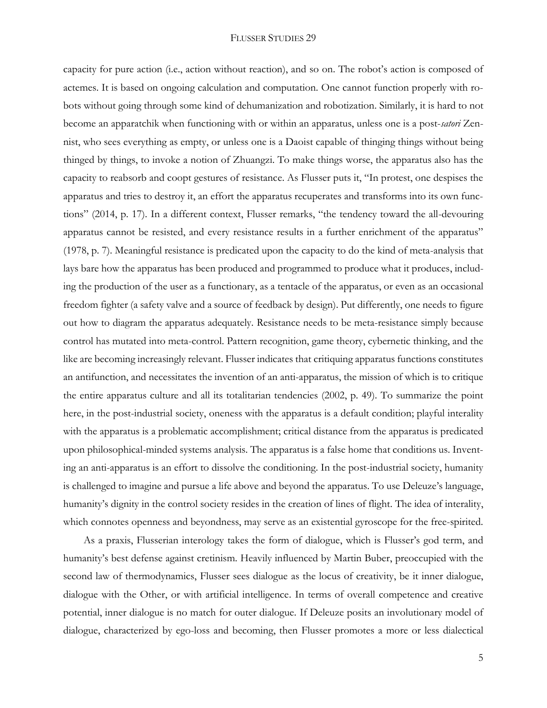capacity for pure action (i.e., action without reaction), and so on. The robot's action is composed of actemes. It is based on ongoing calculation and computation. One cannot function properly with robots without going through some kind of dehumanization and robotization. Similarly, it is hard to not become an apparatchik when functioning with or within an apparatus, unless one is a post-*satori* Zennist, who sees everything as empty, or unless one is a Daoist capable of thinging things without being thinged by things, to invoke a notion of Zhuangzi. To make things worse, the apparatus also has the capacity to reabsorb and coopt gestures of resistance. As Flusser puts it, "In protest, one despises the apparatus and tries to destroy it, an effort the apparatus recuperates and transforms into its own functions" (2014, p. 17). In a different context, Flusser remarks, "the tendency toward the all-devouring apparatus cannot be resisted, and every resistance results in a further enrichment of the apparatus" (1978, p. 7). Meaningful resistance is predicated upon the capacity to do the kind of meta-analysis that lays bare how the apparatus has been produced and programmed to produce what it produces, including the production of the user as a functionary, as a tentacle of the apparatus, or even as an occasional freedom fighter (a safety valve and a source of feedback by design). Put differently, one needs to figure out how to diagram the apparatus adequately. Resistance needs to be meta-resistance simply because control has mutated into meta-control. Pattern recognition, game theory, cybernetic thinking, and the like are becoming increasingly relevant. Flusser indicates that critiquing apparatus functions constitutes an antifunction, and necessitates the invention of an anti-apparatus, the mission of which is to critique the entire apparatus culture and all its totalitarian tendencies (2002, p. 49). To summarize the point here, in the post-industrial society, oneness with the apparatus is a default condition; playful interality with the apparatus is a problematic accomplishment; critical distance from the apparatus is predicated upon philosophical-minded systems analysis. The apparatus is a false home that conditions us. Inventing an anti-apparatus is an effort to dissolve the conditioning. In the post-industrial society, humanity is challenged to imagine and pursue a life above and beyond the apparatus. To use Deleuze's language, humanity's dignity in the control society resides in the creation of lines of flight. The idea of interality, which connotes openness and beyondness, may serve as an existential gyroscope for the free-spirited.

As a praxis, Flusserian interology takes the form of dialogue, which is Flusser's god term, and humanity's best defense against cretinism. Heavily influenced by Martin Buber, preoccupied with the second law of thermodynamics, Flusser sees dialogue as the locus of creativity, be it inner dialogue, dialogue with the Other, or with artificial intelligence. In terms of overall competence and creative potential, inner dialogue is no match for outer dialogue. If Deleuze posits an involutionary model of dialogue, characterized by ego-loss and becoming, then Flusser promotes a more or less dialectical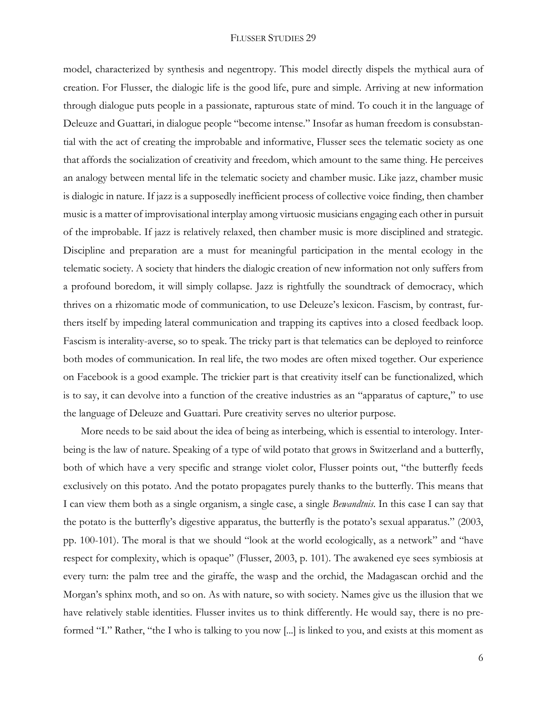model, characterized by synthesis and negentropy. This model directly dispels the mythical aura of creation. For Flusser, the dialogic life is the good life, pure and simple. Arriving at new information through dialogue puts people in a passionate, rapturous state of mind. To couch it in the language of Deleuze and Guattari, in dialogue people "become intense." Insofar as human freedom is consubstantial with the act of creating the improbable and informative, Flusser sees the telematic society as one that affords the socialization of creativity and freedom, which amount to the same thing. He perceives an analogy between mental life in the telematic society and chamber music. Like jazz, chamber music is dialogic in nature. If jazz is a supposedly inefficient process of collective voice finding, then chamber music is a matter of improvisational interplay among virtuosic musicians engaging each other in pursuit of the improbable. If jazz is relatively relaxed, then chamber music is more disciplined and strategic. Discipline and preparation are a must for meaningful participation in the mental ecology in the telematic society. A society that hinders the dialogic creation of new information not only suffers from a profound boredom, it will simply collapse. Jazz is rightfully the soundtrack of democracy, which thrives on a rhizomatic mode of communication, to use Deleuze's lexicon. Fascism, by contrast, furthers itself by impeding lateral communication and trapping its captives into a closed feedback loop. Fascism is interality-averse, so to speak. The tricky part is that telematics can be deployed to reinforce both modes of communication. In real life, the two modes are often mixed together. Our experience on Facebook is a good example. The trickier part is that creativity itself can be functionalized, which is to say, it can devolve into a function of the creative industries as an "apparatus of capture," to use the language of Deleuze and Guattari. Pure creativity serves no ulterior purpose.

More needs to be said about the idea of being as interbeing, which is essential to interology. Interbeing is the law of nature. Speaking of a type of wild potato that grows in Switzerland and a butterfly, both of which have a very specific and strange violet color, Flusser points out, "the butterfly feeds exclusively on this potato. And the potato propagates purely thanks to the butterfly. This means that I can view them both as a single organism, a single case, a single *Bewandtnis*. In this case I can say that the potato is the butterfly's digestive apparatus, the butterfly is the potato's sexual apparatus." (2003, pp. 100-101). The moral is that we should "look at the world ecologically, as a network" and "have respect for complexity, which is opaque" (Flusser, 2003, p. 101). The awakened eye sees symbiosis at every turn: the palm tree and the giraffe, the wasp and the orchid, the Madagascan orchid and the Morgan's sphinx moth, and so on. As with nature, so with society. Names give us the illusion that we have relatively stable identities. Flusser invites us to think differently. He would say, there is no preformed "I." Rather, "the I who is talking to you now [...] is linked to you, and exists at this moment as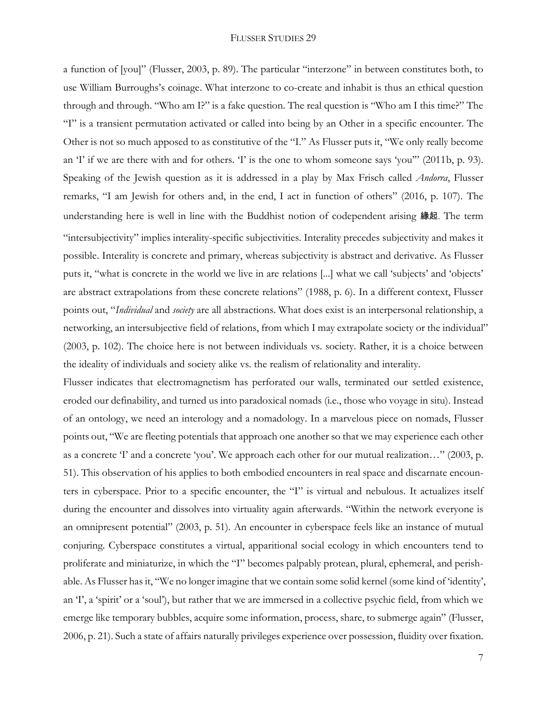a function of [you]" (Flusser, 2003, p. 89). The particular "interzone" in between constitutes both, to use William Burroughs's coinage. What interzone to co-create and inhabit is thus an ethical question through and through. "Who am I?" is a fake question. The real question is "Who am I this time?" The "I" is a transient permutation activated or called into being by an Other in a specific encounter. The Other is not so much apposed to as constitutive of the "I." As Flusser puts it, "We only really become an 'I' if we are there with and for others. 'I' is the one to whom someone says 'you'" (2011b, p. 93). Speaking of the Jewish question as it is addressed in a play by Max Frisch called *Andorra*, Flusser remarks, "I am Jewish for others and, in the end, I act in function of others" (2016, p. 107). The understanding here is well in line with the Buddhist notion of codependent arising 緣起. The term "intersubjectivity" implies interality-specific subjectivities. Interality precedes subjectivity and makes it possible. Interality is concrete and primary, whereas subjectivity is abstract and derivative. As Flusser puts it, "what is concrete in the world we live in are relations [...] what we call 'subjects' and 'objects' are abstract extrapolations from these concrete relations" (1988, p. 6). In a different context, Flusser points out, "*Individual* and *society* are all abstractions. What does exist is an interpersonal relationship, a networking, an intersubjective field of relations, from which I may extrapolate society or the individual" (2003, p. 102). The choice here is not between individuals vs. society. Rather, it is a choice between the ideality of individuals and society alike vs. the realism of relationality and interality.

Flusser indicates that electromagnetism has perforated our walls, terminated our settled existence, eroded our definability, and turned us into paradoxical nomads (i.e., those who voyage in situ). Instead of an ontology, we need an interology and a nomadology. In a marvelous piece on nomads, Flusser points out, "We are fleeting potentials that approach one another so that we may experience each other as a concrete 'I' and a concrete 'you'. We approach each other for our mutual realization…" (2003, p. 51). This observation of his applies to both embodied encounters in real space and discarnate encounters in cyberspace. Prior to a specific encounter, the "I" is virtual and nebulous. It actualizes itself during the encounter and dissolves into virtuality again afterwards. "Within the network everyone is an omnipresent potential" (2003, p. 51). An encounter in cyberspace feels like an instance of mutual conjuring. Cyberspace constitutes a virtual, apparitional social ecology in which encounters tend to proliferate and miniaturize, in which the "I" becomes palpably protean, plural, ephemeral, and perishable. As Flusser has it, "We no longer imagine that we contain some solid kernel (some kind of 'identity', an 'I', a 'spirit' or a 'soul'), but rather that we are immersed in a collective psychic field, from which we emerge like temporary bubbles, acquire some information, process, share, to submerge again" (Flusser, 2006, p. 21). Such a state of affairs naturally privileges experience over possession, fluidity over fixation.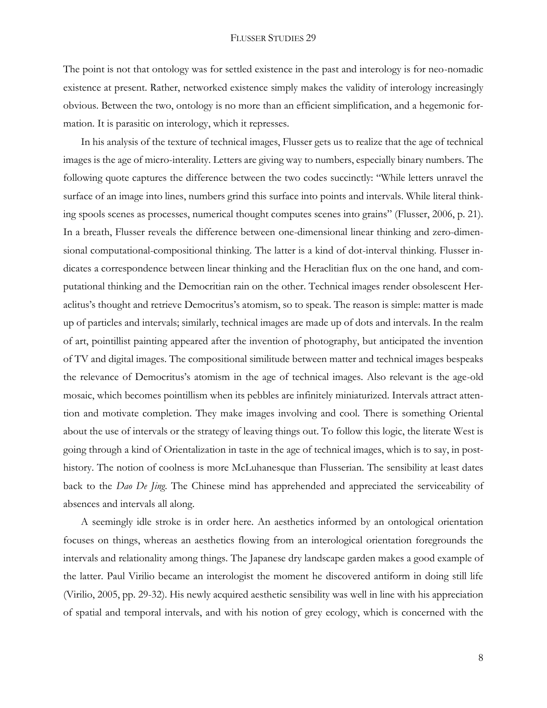The point is not that ontology was for settled existence in the past and interology is for neo-nomadic existence at present. Rather, networked existence simply makes the validity of interology increasingly obvious. Between the two, ontology is no more than an efficient simplification, and a hegemonic formation. It is parasitic on interology, which it represses.

In his analysis of the texture of technical images, Flusser gets us to realize that the age of technical images is the age of micro-interality. Letters are giving way to numbers, especially binary numbers. The following quote captures the difference between the two codes succinctly: "While letters unravel the surface of an image into lines, numbers grind this surface into points and intervals. While literal thinking spools scenes as processes, numerical thought computes scenes into grains" (Flusser, 2006, p. 21). In a breath, Flusser reveals the difference between one-dimensional linear thinking and zero-dimensional computational-compositional thinking. The latter is a kind of dot-interval thinking. Flusser indicates a correspondence between linear thinking and the Heraclitian flux on the one hand, and computational thinking and the Democritian rain on the other. Technical images render obsolescent Heraclitus's thought and retrieve Democritus's atomism, so to speak. The reason is simple: matter is made up of particles and intervals; similarly, technical images are made up of dots and intervals. In the realm of art, pointillist painting appeared after the invention of photography, but anticipated the invention of TV and digital images. The compositional similitude between matter and technical images bespeaks the relevance of Democritus's atomism in the age of technical images. Also relevant is the age-old mosaic, which becomes pointillism when its pebbles are infinitely miniaturized. Intervals attract attention and motivate completion. They make images involving and cool. There is something Oriental about the use of intervals or the strategy of leaving things out. To follow this logic, the literate West is going through a kind of Orientalization in taste in the age of technical images, which is to say, in posthistory. The notion of coolness is more McLuhanesque than Flusserian. The sensibility at least dates back to the *Dao De Jing*. The Chinese mind has apprehended and appreciated the serviceability of absences and intervals all along.

A seemingly idle stroke is in order here. An aesthetics informed by an ontological orientation focuses on things, whereas an aesthetics flowing from an interological orientation foregrounds the intervals and relationality among things. The Japanese dry landscape garden makes a good example of the latter. Paul Virilio became an interologist the moment he discovered antiform in doing still life (Virilio, 2005, pp. 29-32). His newly acquired aesthetic sensibility was well in line with his appreciation of spatial and temporal intervals, and with his notion of grey ecology, which is concerned with the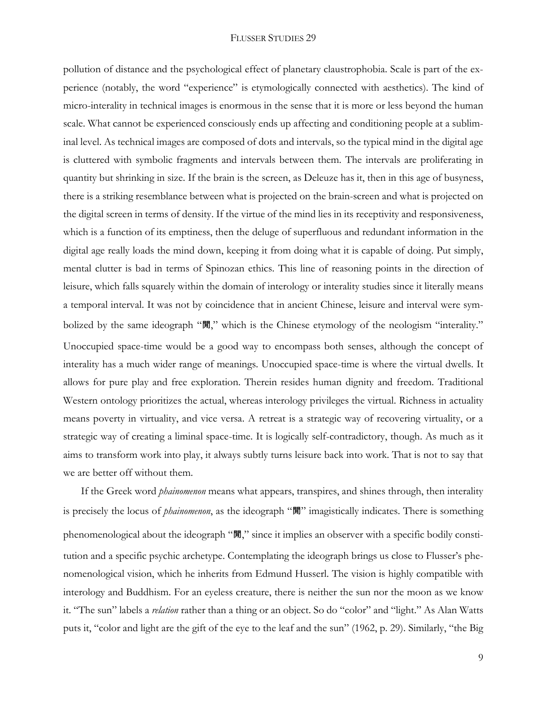pollution of distance and the psychological effect of planetary claustrophobia. Scale is part of the experience (notably, the word "experience" is etymologically connected with aesthetics). The kind of micro-interality in technical images is enormous in the sense that it is more or less beyond the human scale. What cannot be experienced consciously ends up affecting and conditioning people at a subliminal level. As technical images are composed of dots and intervals, so the typical mind in the digital age is cluttered with symbolic fragments and intervals between them. The intervals are proliferating in quantity but shrinking in size. If the brain is the screen, as Deleuze has it, then in this age of busyness, there is a striking resemblance between what is projected on the brain-screen and what is projected on the digital screen in terms of density. If the virtue of the mind lies in its receptivity and responsiveness, which is a function of its emptiness, then the deluge of superfluous and redundant information in the digital age really loads the mind down, keeping it from doing what it is capable of doing. Put simply, mental clutter is bad in terms of Spinozan ethics. This line of reasoning points in the direction of leisure, which falls squarely within the domain of interology or interality studies since it literally means a temporal interval. It was not by coincidence that in ancient Chinese, leisure and interval were symbolized by the same ideograph "閒," which is the Chinese etymology of the neologism "interality." Unoccupied space-time would be a good way to encompass both senses, although the concept of interality has a much wider range of meanings. Unoccupied space-time is where the virtual dwells. It allows for pure play and free exploration. Therein resides human dignity and freedom. Traditional Western ontology prioritizes the actual, whereas interology privileges the virtual. Richness in actuality means poverty in virtuality, and vice versa. A retreat is a strategic way of recovering virtuality, or a strategic way of creating a liminal space-time. It is logically self-contradictory, though. As much as it aims to transform work into play, it always subtly turns leisure back into work. That is not to say that we are better off without them.

If the Greek word *phainomenon* means what appears, transpires, and shines through, then interality is precisely the locus of *phainomenon*, as the ideograph "閒" imagistically indicates. There is something phenomenological about the ideograph "閒," since it implies an observer with a specific bodily constitution and a specific psychic archetype. Contemplating the ideograph brings us close to Flusser's phenomenological vision, which he inherits from Edmund Husserl. The vision is highly compatible with interology and Buddhism. For an eyeless creature, there is neither the sun nor the moon as we know it. "The sun" labels a *relation* rather than a thing or an object. So do "color" and "light." As Alan Watts puts it, "color and light are the gift of the eye to the leaf and the sun" (1962, p. 29). Similarly, "the Big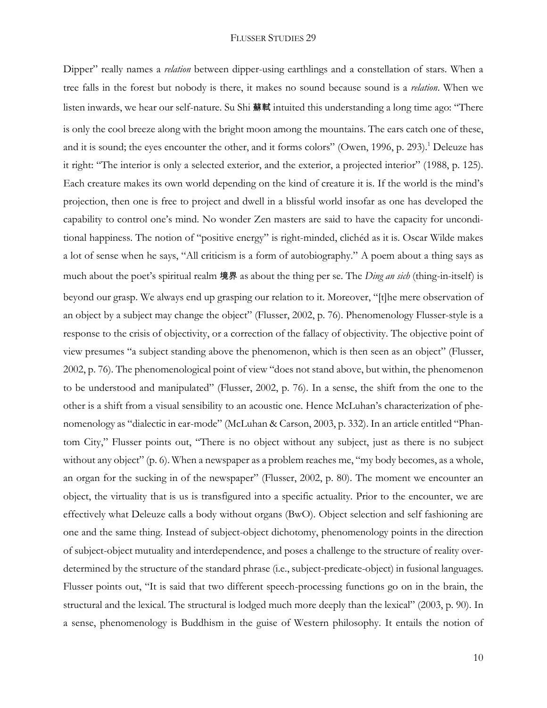Dipper" really names a *relation* between dipper-using earthlings and a constellation of stars. When a tree falls in the forest but nobody is there, it makes no sound because sound is a *relation*. When we listen inwards, we hear our self-nature. Su Shi 蘇軾 intuited this understanding a long time ago: "There is only the cool breeze along with the bright moon among the mountains. The ears catch one of these, and it is sound; the eyes encounter the other, and it forms colors" (Owen, 1996, p. 293).<sup>1</sup> Deleuze has it right: "The interior is only a selected exterior, and the exterior, a projected interior" (1988, p. 125). Each creature makes its own world depending on the kind of creature it is. If the world is the mind's projection, then one is free to project and dwell in a blissful world insofar as one has developed the capability to control one's mind. No wonder Zen masters are said to have the capacity for unconditional happiness. The notion of "positive energy" is right-minded, clichéd as it is. Oscar Wilde makes a lot of sense when he says, "All criticism is a form of autobiography." A poem about a thing says as much about the poet's spiritual realm 境界 as about the thing per se. The *Ding an sich* (thing-in-itself) is beyond our grasp. We always end up grasping our relation to it. Moreover, "[t]he mere observation of an object by a subject may change the object" (Flusser, 2002, p. 76). Phenomenology Flusser-style is a response to the crisis of objectivity, or a correction of the fallacy of objectivity. The objective point of view presumes "a subject standing above the phenomenon, which is then seen as an object" (Flusser, 2002, p. 76). The phenomenological point of view "does not stand above, but within, the phenomenon to be understood and manipulated" (Flusser, 2002, p. 76). In a sense, the shift from the one to the other is a shift from a visual sensibility to an acoustic one. Hence McLuhan's characterization of phenomenology as "dialectic in ear-mode" (McLuhan & Carson, 2003, p. 332). In an article entitled "Phantom City," Flusser points out, "There is no object without any subject, just as there is no subject without any object" (p. 6). When a newspaper as a problem reaches me, "my body becomes, as a whole, an organ for the sucking in of the newspaper" (Flusser, 2002, p. 80). The moment we encounter an object, the virtuality that is us is transfigured into a specific actuality. Prior to the encounter, we are effectively what Deleuze calls a body without organs (BwO). Object selection and self fashioning are one and the same thing. Instead of subject-object dichotomy, phenomenology points in the direction of subject-object mutuality and interdependence, and poses a challenge to the structure of reality overdetermined by the structure of the standard phrase (i.e., subject-predicate-object) in fusional languages. Flusser points out, "It is said that two different speech-processing functions go on in the brain, the structural and the lexical. The structural is lodged much more deeply than the lexical" (2003, p. 90). In a sense, phenomenology is Buddhism in the guise of Western philosophy. It entails the notion of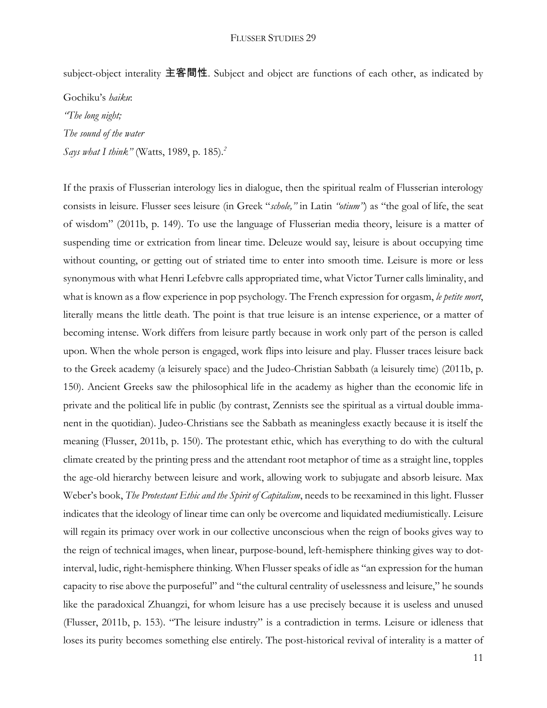subject-object interality 主客間性. Subject and object are functions of each other, as indicated by

Gochiku's *haiku*: *"The long night; The sound of the water Says what I think"* (Watts, 1989, p. 185)*. 2*

If the praxis of Flusserian interology lies in dialogue, then the spiritual realm of Flusserian interology consists in leisure. Flusser sees leisure (in Greek "*schole,"* in Latin *"otium"*) as "the goal of life, the seat of wisdom" (2011b, p. 149). To use the language of Flusserian media theory, leisure is a matter of suspending time or extrication from linear time. Deleuze would say, leisure is about occupying time without counting, or getting out of striated time to enter into smooth time. Leisure is more or less synonymous with what Henri Lefebvre calls appropriated time, what Victor Turner calls liminality, and what is known as a flow experience in pop psychology. The French expression for orgasm, *le petite mort*, literally means the little death. The point is that true leisure is an intense experience, or a matter of becoming intense. Work differs from leisure partly because in work only part of the person is called upon. When the whole person is engaged, work flips into leisure and play. Flusser traces leisure back to the Greek academy (a leisurely space) and the Judeo-Christian Sabbath (a leisurely time) (2011b, p. 150). Ancient Greeks saw the philosophical life in the academy as higher than the economic life in private and the political life in public (by contrast, Zennists see the spiritual as a virtual double immanent in the quotidian). Judeo-Christians see the Sabbath as meaningless exactly because it is itself the meaning (Flusser, 2011b, p. 150). The protestant ethic, which has everything to do with the cultural climate created by the printing press and the attendant root metaphor of time as a straight line, topples the age-old hierarchy between leisure and work, allowing work to subjugate and absorb leisure. Max Weber's book, *The Protestant Ethic and the Spirit of Capitalism*, needs to be reexamined in this light. Flusser indicates that the ideology of linear time can only be overcome and liquidated mediumistically. Leisure will regain its primacy over work in our collective unconscious when the reign of books gives way to the reign of technical images, when linear, purpose-bound, left-hemisphere thinking gives way to dotinterval, ludic, right-hemisphere thinking. When Flusser speaks of idle as "an expression for the human capacity to rise above the purposeful" and "the cultural centrality of uselessness and leisure," he sounds like the paradoxical Zhuangzi, for whom leisure has a use precisely because it is useless and unused (Flusser, 2011b, p. 153). "The leisure industry" is a contradiction in terms. Leisure or idleness that loses its purity becomes something else entirely. The post-historical revival of interality is a matter of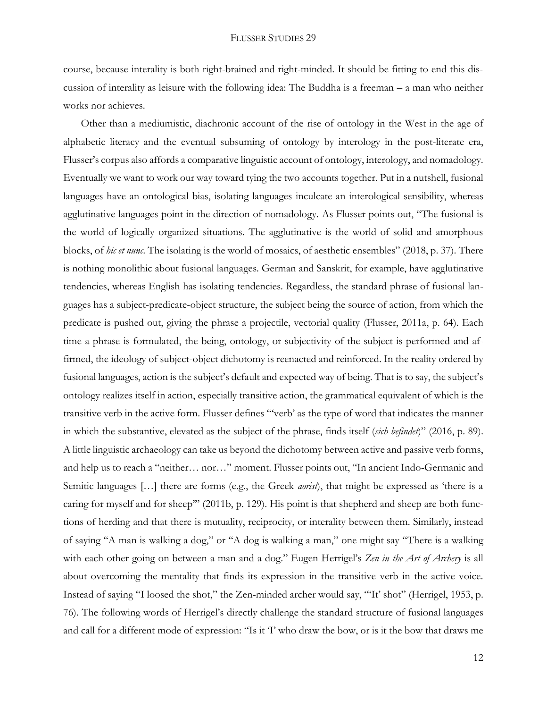course, because interality is both right-brained and right-minded. It should be fitting to end this discussion of interality as leisure with the following idea: The Buddha is a freeman – a man who neither works nor achieves.

Other than a mediumistic, diachronic account of the rise of ontology in the West in the age of alphabetic literacy and the eventual subsuming of ontology by interology in the post-literate era, Flusser's corpus also affords a comparative linguistic account of ontology, interology, and nomadology. Eventually we want to work our way toward tying the two accounts together. Put in a nutshell, fusional languages have an ontological bias, isolating languages inculcate an interological sensibility, whereas agglutinative languages point in the direction of nomadology. As Flusser points out, "The fusional is the world of logically organized situations. The agglutinative is the world of solid and amorphous blocks, of *hic et nunc*. The isolating is the world of mosaics, of aesthetic ensembles" (2018, p. 37). There is nothing monolithic about fusional languages. German and Sanskrit, for example, have agglutinative tendencies, whereas English has isolating tendencies. Regardless, the standard phrase of fusional languages has a subject-predicate-object structure, the subject being the source of action, from which the predicate is pushed out, giving the phrase a projectile, vectorial quality (Flusser, 2011a, p. 64). Each time a phrase is formulated, the being, ontology, or subjectivity of the subject is performed and affirmed, the ideology of subject-object dichotomy is reenacted and reinforced. In the reality ordered by fusional languages, action is the subject's default and expected way of being. That is to say, the subject's ontology realizes itself in action, especially transitive action, the grammatical equivalent of which is the transitive verb in the active form. Flusser defines "'verb' as the type of word that indicates the manner in which the substantive, elevated as the subject of the phrase, finds itself (*sich befindet*)" (2016, p. 89). A little linguistic archaeology can take us beyond the dichotomy between active and passive verb forms, and help us to reach a "neither… nor…" moment. Flusser points out, "In ancient Indo-Germanic and Semitic languages […] there are forms (e.g., the Greek *aorist*), that might be expressed as 'there is a caring for myself and for sheep" (2011b, p. 129). His point is that shepherd and sheep are both functions of herding and that there is mutuality, reciprocity, or interality between them. Similarly, instead of saying "A man is walking a dog," or "A dog is walking a man," one might say "There is a walking with each other going on between a man and a dog." Eugen Herrigel's *Zen in the Art of Archery* is all about overcoming the mentality that finds its expression in the transitive verb in the active voice. Instead of saying "I loosed the shot," the Zen-minded archer would say, "'It' shot" (Herrigel, 1953, p. 76). The following words of Herrigel's directly challenge the standard structure of fusional languages and call for a different mode of expression: "Is it 'I' who draw the bow, or is it the bow that draws me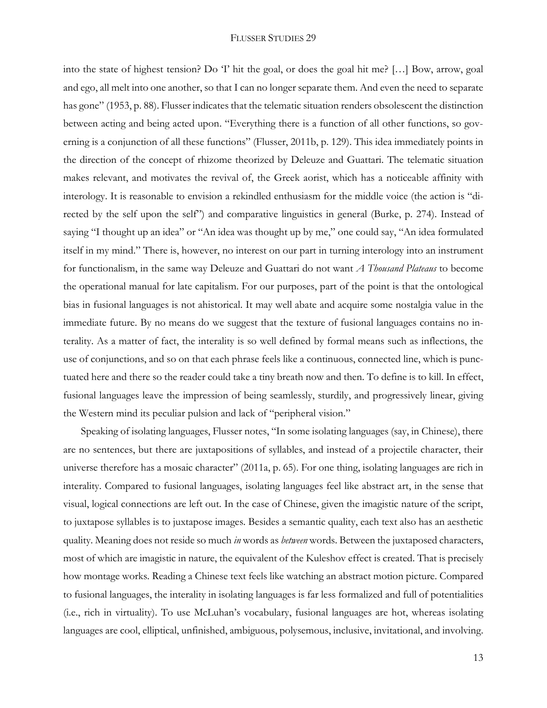into the state of highest tension? Do 'I' hit the goal, or does the goal hit me? […] Bow, arrow, goal and ego, all melt into one another, so that I can no longer separate them. And even the need to separate has gone" (1953, p. 88). Flusser indicates that the telematic situation renders obsolescent the distinction between acting and being acted upon. "Everything there is a function of all other functions, so governing is a conjunction of all these functions" (Flusser, 2011b, p. 129). This idea immediately points in the direction of the concept of rhizome theorized by Deleuze and Guattari. The telematic situation makes relevant, and motivates the revival of, the Greek aorist, which has a noticeable affinity with interology. It is reasonable to envision a rekindled enthusiasm for the middle voice (the action is "directed by the self upon the self") and comparative linguistics in general (Burke, p. 274). Instead of saying "I thought up an idea" or "An idea was thought up by me," one could say, "An idea formulated itself in my mind." There is, however, no interest on our part in turning interology into an instrument for functionalism, in the same way Deleuze and Guattari do not want *A Thousand Plateaus* to become the operational manual for late capitalism. For our purposes, part of the point is that the ontological bias in fusional languages is not ahistorical. It may well abate and acquire some nostalgia value in the immediate future. By no means do we suggest that the texture of fusional languages contains no interality. As a matter of fact, the interality is so well defined by formal means such as inflections, the use of conjunctions, and so on that each phrase feels like a continuous, connected line, which is punctuated here and there so the reader could take a tiny breath now and then. To define is to kill. In effect, fusional languages leave the impression of being seamlessly, sturdily, and progressively linear, giving the Western mind its peculiar pulsion and lack of "peripheral vision."

Speaking of isolating languages, Flusser notes, "In some isolating languages (say, in Chinese), there are no sentences, but there are juxtapositions of syllables, and instead of a projectile character, their universe therefore has a mosaic character" (2011a, p. 65). For one thing, isolating languages are rich in interality. Compared to fusional languages, isolating languages feel like abstract art, in the sense that visual, logical connections are left out. In the case of Chinese, given the imagistic nature of the script, to juxtapose syllables is to juxtapose images. Besides a semantic quality, each text also has an aesthetic quality. Meaning does not reside so much *in* words as *between* words. Between the juxtaposed characters, most of which are imagistic in nature, the equivalent of the Kuleshov effect is created. That is precisely how montage works. Reading a Chinese text feels like watching an abstract motion picture. Compared to fusional languages, the interality in isolating languages is far less formalized and full of potentialities (i.e., rich in virtuality). To use McLuhan's vocabulary, fusional languages are hot, whereas isolating languages are cool, elliptical, unfinished, ambiguous, polysemous, inclusive, invitational, and involving.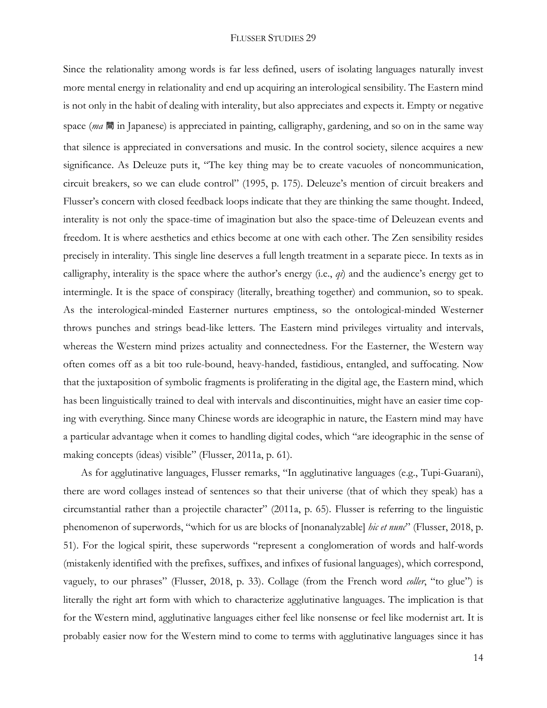Since the relationality among words is far less defined, users of isolating languages naturally invest more mental energy in relationality and end up acquiring an interological sensibility. The Eastern mind is not only in the habit of dealing with interality, but also appreciates and expects it. Empty or negative space (*ma* 間 in Japanese) is appreciated in painting, calligraphy, gardening, and so on in the same way that silence is appreciated in conversations and music. In the control society, silence acquires a new significance. As Deleuze puts it, "The key thing may be to create vacuoles of noncommunication, circuit breakers, so we can elude control" (1995, p. 175). Deleuze's mention of circuit breakers and Flusser's concern with closed feedback loops indicate that they are thinking the same thought. Indeed, interality is not only the space-time of imagination but also the space-time of Deleuzean events and freedom. It is where aesthetics and ethics become at one with each other. The Zen sensibility resides precisely in interality. This single line deserves a full length treatment in a separate piece. In texts as in calligraphy, interality is the space where the author's energy (i.e., *qi*) and the audience's energy get to intermingle. It is the space of conspiracy (literally, breathing together) and communion, so to speak. As the interological-minded Easterner nurtures emptiness, so the ontological-minded Westerner throws punches and strings bead-like letters. The Eastern mind privileges virtuality and intervals, whereas the Western mind prizes actuality and connectedness. For the Easterner, the Western way often comes off as a bit too rule-bound, heavy-handed, fastidious, entangled, and suffocating. Now that the juxtaposition of symbolic fragments is proliferating in the digital age, the Eastern mind, which has been linguistically trained to deal with intervals and discontinuities, might have an easier time coping with everything. Since many Chinese words are ideographic in nature, the Eastern mind may have a particular advantage when it comes to handling digital codes, which "are ideographic in the sense of making concepts (ideas) visible" (Flusser, 2011a, p. 61).

As for agglutinative languages, Flusser remarks, "In agglutinative languages (e.g., Tupi-Guarani), there are word collages instead of sentences so that their universe (that of which they speak) has a circumstantial rather than a projectile character" (2011a, p. 65). Flusser is referring to the linguistic phenomenon of superwords, "which for us are blocks of [nonanalyzable] *hic et nunc*" (Flusser, 2018, p. 51). For the logical spirit, these superwords "represent a conglomeration of words and half-words (mistakenly identified with the prefixes, suffixes, and infixes of fusional languages), which correspond, vaguely, to our phrases" (Flusser, 2018, p. 33). Collage (from the French word *coller*, "to glue") is literally the right art form with which to characterize agglutinative languages. The implication is that for the Western mind, agglutinative languages either feel like nonsense or feel like modernist art. It is probably easier now for the Western mind to come to terms with agglutinative languages since it has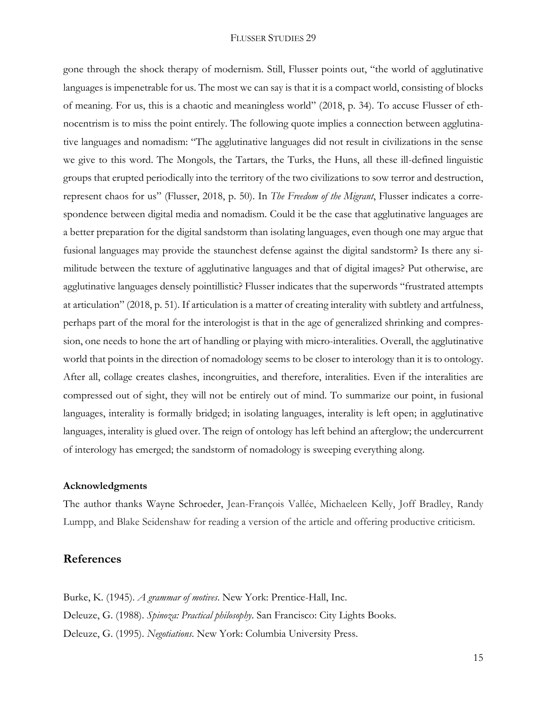gone through the shock therapy of modernism. Still, Flusser points out, "the world of agglutinative languages is impenetrable for us. The most we can say is that it is a compact world, consisting of blocks of meaning. For us, this is a chaotic and meaningless world" (2018, p. 34). To accuse Flusser of ethnocentrism is to miss the point entirely. The following quote implies a connection between agglutinative languages and nomadism: "The agglutinative languages did not result in civilizations in the sense we give to this word. The Mongols, the Tartars, the Turks, the Huns, all these ill-defined linguistic groups that erupted periodically into the territory of the two civilizations to sow terror and destruction, represent chaos for us" (Flusser, 2018, p. 50). In *The Freedom of the Migrant*, Flusser indicates a correspondence between digital media and nomadism. Could it be the case that agglutinative languages are a better preparation for the digital sandstorm than isolating languages, even though one may argue that fusional languages may provide the staunchest defense against the digital sandstorm? Is there any similitude between the texture of agglutinative languages and that of digital images? Put otherwise, are agglutinative languages densely pointillistic? Flusser indicates that the superwords "frustrated attempts at articulation" (2018, p. 51). If articulation is a matter of creating interality with subtlety and artfulness, perhaps part of the moral for the interologist is that in the age of generalized shrinking and compression, one needs to hone the art of handling or playing with micro-interalities. Overall, the agglutinative world that points in the direction of nomadology seems to be closer to interology than it is to ontology. After all, collage creates clashes, incongruities, and therefore, interalities. Even if the interalities are compressed out of sight, they will not be entirely out of mind. To summarize our point, in fusional languages, interality is formally bridged; in isolating languages, interality is left open; in agglutinative languages, interality is glued over. The reign of ontology has left behind an afterglow; the undercurrent of interology has emerged; the sandstorm of nomadology is sweeping everything along.

#### **Acknowledgments**

The author thanks Wayne Schroeder, Jean-François Vallée, Michaeleen Kelly, Joff Bradley, Randy Lumpp, and Blake Seidenshaw for reading a version of the article and offering productive criticism.

### **References**

Burke, K. (1945). *A grammar of motives*. New York: Prentice-Hall, Inc. Deleuze, G. (1988). *Spinoza: Practical philosophy*. San Francisco: City Lights Books. Deleuze, G. (1995). *Negotiations*. New York: Columbia University Press.